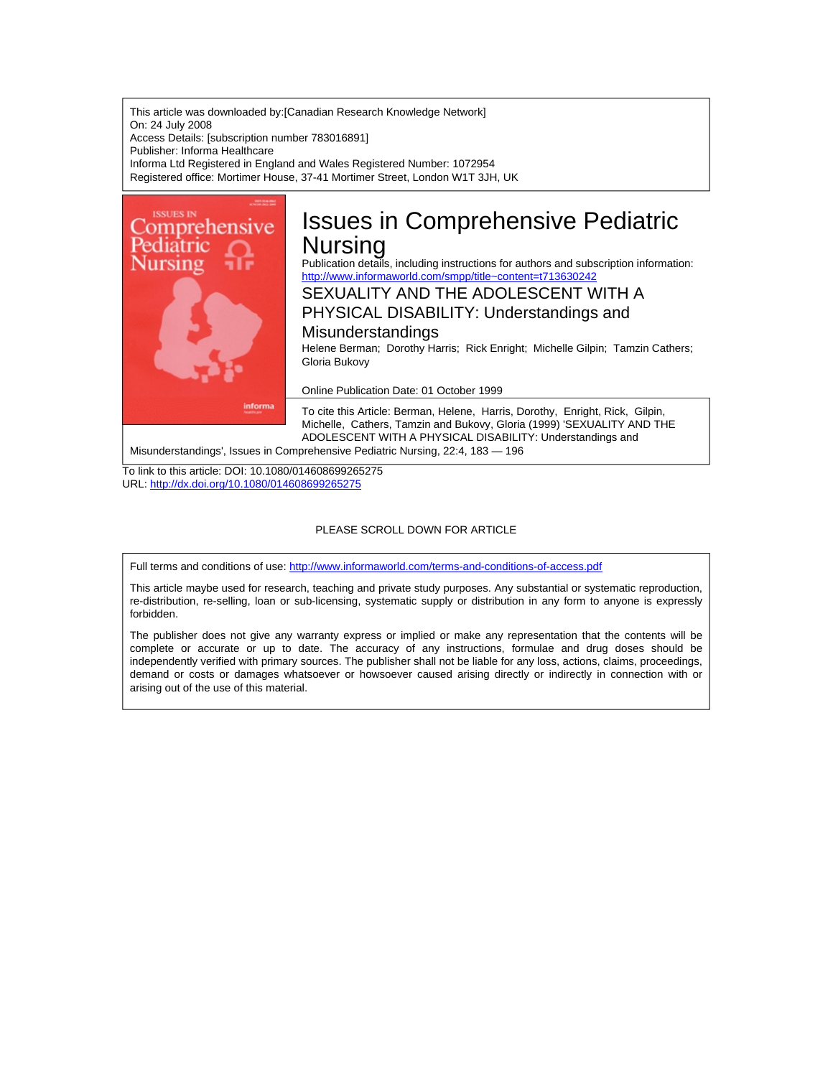This article was downloaded by:[Canadian Research Knowledge Network] On: 24 July 2008 Access Details: [subscription number 783016891] Publisher: Informa Healthcare Informa Ltd Registered in England and Wales Registered Number: 1072954 Registered office: Mortimer House, 37-41 Mortimer Street, London W1T 3JH, UK



# Issues in Comprehensive Pediatric Nursing

Publication details, including instructions for authors and subscription information: <http://www.informaworld.com/smpp/title~content=t713630242>

SEXUALITY AND THE ADOLESCENT WITH A PHYSICAL DISABILITY: Understandings and Misunderstandings

Helene Berman; Dorothy Harris; Rick Enright; Michelle Gilpin; Tamzin Cathers; Gloria Bukovy

Online Publication Date: 01 October 1999

To cite this Article: Berman, Helene, Harris, Dorothy, Enright, Rick, Gilpin, Michelle, Cathers, Tamzin and Bukovy, Gloria (1999) 'SEXUALITY AND THE ADOLESCENT WITH A PHYSICAL DISABILITY: Understandings and

Misunderstandings', Issues in Comprehensive Pediatric Nursing, 22:4, 183 — 196

To link to this article: DOI: 10.1080/014608699265275 URL: <http://dx.doi.org/10.1080/014608699265275>

#### PLEASE SCROLL DOWN FOR ARTICLE

Full terms and conditions of use: <http://www.informaworld.com/terms-and-conditions-of-access.pdf>

This article maybe used for research, teaching and private study purposes. Any substantial or systematic reproduction, re-distribution, re-selling, loan or sub-licensing, systematic supply or distribution in any form to anyone is expressly forbidden.

The publisher does not give any warranty express or implied or make any representation that the contents will be complete or accurate or up to date. The accuracy of any instructions, formulae and drug doses should be independently verified with primary sources. The publisher shall not be liable for any loss, actions, claims, proceedings, demand or costs or damages whatsoever or howsoever caused arising directly or indirectly in connection with or arising out of the use of this material.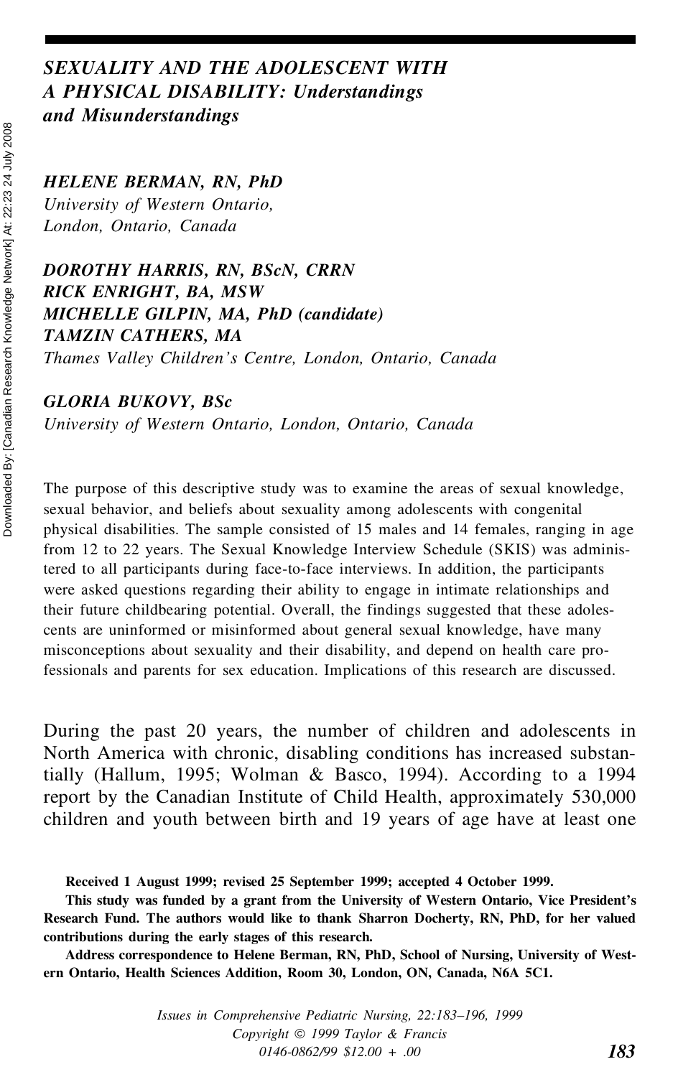# *SEXUALITY AND THE ADOLESCENT WITH A PHYSICAL DISABILITY: Understandings and Misunderstandings*

*HELENE BERMAN, RN, PhD University of Western Ontario,*

*London, Ontario, Canada*

*DOROTHY HARRIS, RN, BScN, CRRN RICK ENRIGHT, BA, MSW MICHELLE GILPIN, MA, PhD (candidate) TAMZIN CATHERS, MA Thames Valley Children's Centre, London, Ontario, Canada*

*GLORIA BUKOVY, BSc*

*University of Western Ontario, London, Ontario, Canada*

The purpose of this descriptive study was to examine the areas of sexual knowledge, sexual behavior, and beliefs about sexuality among adolescents with congenital physical disabilities. The sample consisted of 15 males and 14 females, ranging in age from 12 to 22 years. The Sexual Knowledge Interview Schedule (SKIS) was administered to all participants during face-to-face interviews. In addition, the participants were asked questions regarding their ability to engage in intimate relationships and their future childbearing potential. Overall, the findings suggested that these adoles cents are uninformed or misinformed about general sexual knowledge, have many misconceptions about sexuality and their disability, and depend on health care professionals and parents for sex education. Implications of this research are discussed.

During the past 20 years, the number of children and adolescents in North America with chronic, disabling conditions has increased substantially (Hallum, 1995; Wolman & Basco, 1994). According to a 1994 report by the Canadian Institute of Child Health, approximately 530,000 children and youth between birth and 19 years of age have at least one

**Received 1 August 1999; revised 25 September 1999; accepted 4 October 1999.**

**This study was funded by a grant from the University of Western Ontario, Vice President's Research Fund. The authors would like to thank Sharron Docherty, RN, PhD, for her valued contributions during the early stages of this research.**

**Address correspondence to Helene Berman, RN, PhD, School of Nursing, University of West ern Ontario, Health Sciences Addition, Room 30, London, ON, Canada, N6A 5C1.**

> *Issues in Comprehensive Pediatric Nursing, 22:183–196, 1999 Copyright* ã *1999 Taylor & Francis 0146-0862/99 \$12.00 + .00 183*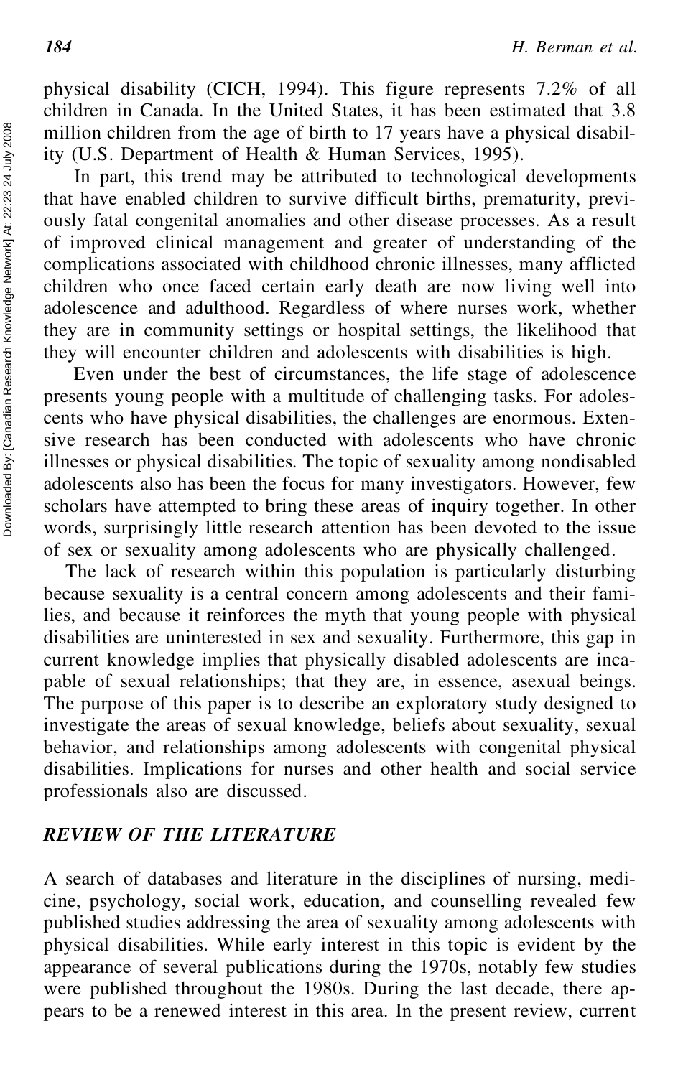physical disability (CICH, 1994). This figure represents 7.2% of all children in Canada. In the United States, it has been estimated that 3.8 million children from the age of birth to 17 years have a physical disability (U.S. Department of Health & Human Services, 1995).

In part, this trend may be attributed to technological developments that have enabled children to survive difficult births, prematurity, previ ously fatal congenital anomalies and other disease processes. As a result of improved clinical management and greater of understanding of the complications associated with childhood chronic illnesses, many afflicted children who once faced certain early death are now living well into adolescence and adulthood. Regardless of where nurses work, whether they are in community settings or hospital settings, the likelihood that they will encounter children and adolescents with disabilities is high.

Even under the best of circumstances, the life stage of adolescence presents young people with a multitude of challenging tasks. For adoles cents who have physical disabilities, the challenges are enormous. Exten sive research has been conducted with adolescents who have chronic illnesses or physical disabilities. The topic of sexuality among nondisabled adolescents also has been the focus for many investigators. However, few scholars have attempted to bring these areas of inquiry together. In other words, surprisingly little research attention has been devoted to the issue of sex or sexuality among adolescents who are physically challenged.

The lack of research within this population is particularly disturbing because sexuality is a central concern among adolescents and their families, and because it reinforces the myth that young people with physical disabilities are uninterested in sex and sexuality. Furthermore, this gap in current knowledge implies that physically disabled adolescents are inca pable of sexual relationships; that they are, in essence, asexual beings. The purpose of this paper is to describe an exploratory study designed to investigate the areas of sexual knowledge, beliefs about sexuality, sexual behavior, and relationships among adolescents with congenital physical disabilities. Implications for nurses and other health and social service professionals also are discussed.

## *REVIEW OF THE LITERATURE*

A search of databases and literature in the disciplines of nursing, medi cine, psychology, social work, education, and counselling revealed few published studies addressing the area of sexuality among adolescents with physical disabilities. While early interest in this topic is evident by the appearance of several publications during the 1970s, notably few studies were published throughout the 1980s. During the last decade, there ap pears to be a renewed interest in this area. In the present review, current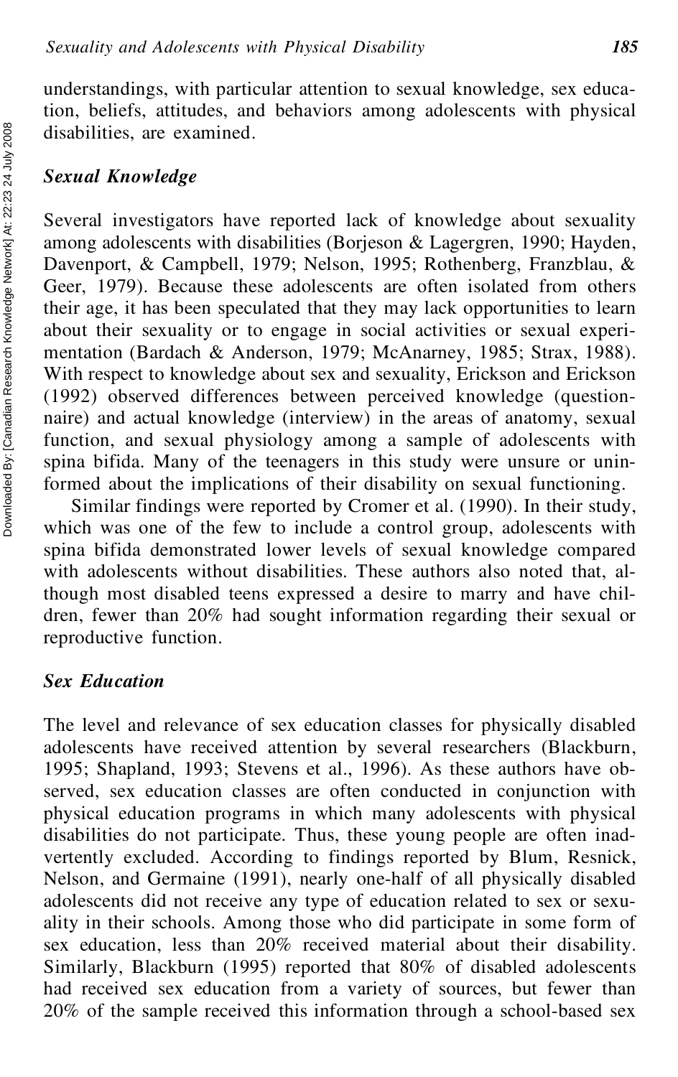understandings, with particular attention to sexual knowledge, sex education, beliefs, attitudes, and behaviors among adolescents with physical disabilities, are examined.

## *Sexual Knowledge*

Several investigators have reported lack of knowledge about sexuality among adolescents with disabilities (Borjeson & Lagergren, 1990; Hayden, Davenport, & Campbell, 1979; Nelson, 1995; Rothenberg, Franzblau, & Geer, 1979). Because these adolescents are often isolated from others their age, it has been speculated that they may lack opportunities to learn about their sexuality or to engage in social activities or sexual experi mentation (Bardach & Anderson, 1979; McAnarney, 1985; Strax, 1988). With respect to knowledge about sex and sexuality, Erickson and Erickson (1992) observed differences between perceived knowledge (question naire) and actual knowledge (interview) in the areas of anatomy, sexual function, and sexual physiology among a sample of adolescents with spina bifida. Many of the teenagers in this study were unsure or uninformed about the implications of their disability on sexual functioning.

Similar findings were reported by Cromer et al. (1990). In their study, which was one of the few to include a control group, adolescents with spina bifida demonstrated lower levels of sexual knowledge compared with adolescents without disabilities. These authors also noted that, although most disabled teens expressed a desire to marry and have chil dren, fewer than 20% had sought information regarding their sexual or reproductive function.

## *Sex Education*

The level and relevance of sex education classes for physically disabled adolescents have received attention by several researchers (Blackburn, 1995; Shapland, 1993; Stevens et al., 1996). As these authors have ob served, sex education classes are often conducted in conjunction with physical education programs in which many adolescents with physical disabilities do not participate. Thus, these young people are often inad vertently excluded. According to findings reported by Blum, Resnick, Nelson, and Germaine (1991), nearly one-half of all physically disabled adolescents did not receive any type of education related to sex or sexu ality in their schools. Among those who did participate in some form of sex education, less than 20% received material about their disability. Similarly, Blackburn (1995) reported that 80% of disabled adolescents had received sex education from a variety of sources, but fewer than 20% of the sample received this information through a school-based sex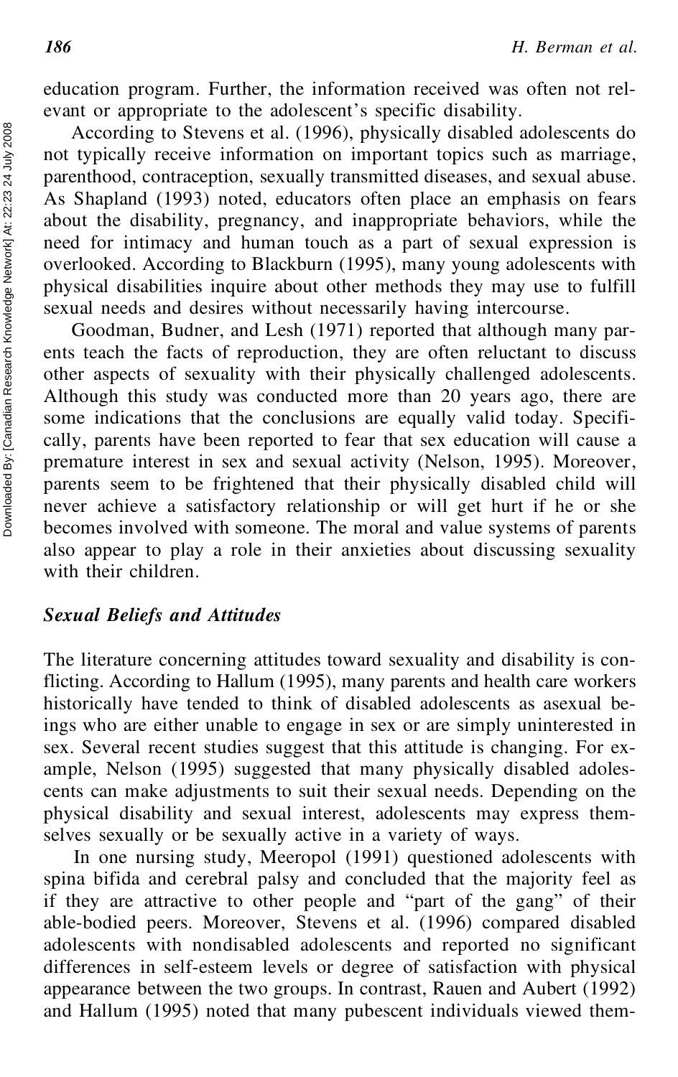education program. Further, the information received was often not rel evant or appropriate to the adolescent's specific disability.

According to Stevens et al. (1996), physically disabled adolescents do not typically receive information on important topics such as marriage, parenthood, contraception, sexually transmitted diseases, and sexual abuse. As Shapland (1993) noted, educators often place an emphasis on fears about the disability, pregnancy, and inappropriate behaviors, while the need for intimacy and human touch as a part of sexual expression is overlooked. According to Blackburn (1995), many young adolescents with physical disabilities inquire about other methods they may use to fulfill sexual needs and desires without necessarily having intercourse.

Goodman, Budner, and Lesh (1971) reported that although many par ents teach the facts of reproduction, they are often reluctant to discuss other aspects of sexuality with their physically challenged adolescents. Although this study was conducted more than 20 years ago, there are some indications that the conclusions are equally valid today. Specifi cally, parents have been reported to fear that sex education will cause a premature interest in sex and sexual activity (Nelson, 1995). Moreover, parents seem to be frightened that their physically disabled child will never achieve a satisfactory relationship or will get hurt if he or she becomes involved with someone. The moral and value systems of parents also appear to play a role in their anxieties about discussing sexuality with their children.

#### *Sexual Beliefs and Attitudes*

The literature concerning attitudes toward sexuality and disability is conflicting. According to Hallum (1995), many parents and health care workers historically have tended to think of disabled adolescents as asexual beings who are either unable to engage in sex or are simply uninterested in sex. Several recent studies suggest that this attitude is changing. For ex ample, Nelson (1995) suggested that many physically disabled adoles cents can make adjustments to suit their sexual needs. Depending on the physical disability and sexual interest, adolescents may express them selves sexually or be sexually active in a variety of ways.

In one nursing study, Meeropol (1991) questioned adolescents with spina bifida and cerebral palsy and concluded that the majority feel as if they are attractive to other people and "part of the gang" of their able-bodied peers. Moreover, Stevens et al. (1996) compared disabled adolescents with nondisabled adolescents and reported no significant differences in self-esteem levels or degree of satisfaction with physical appearance between the two groups. In contrast, Rauen and Aubert (1992) and Hallum (1995) noted that many pubescent individuals viewed them-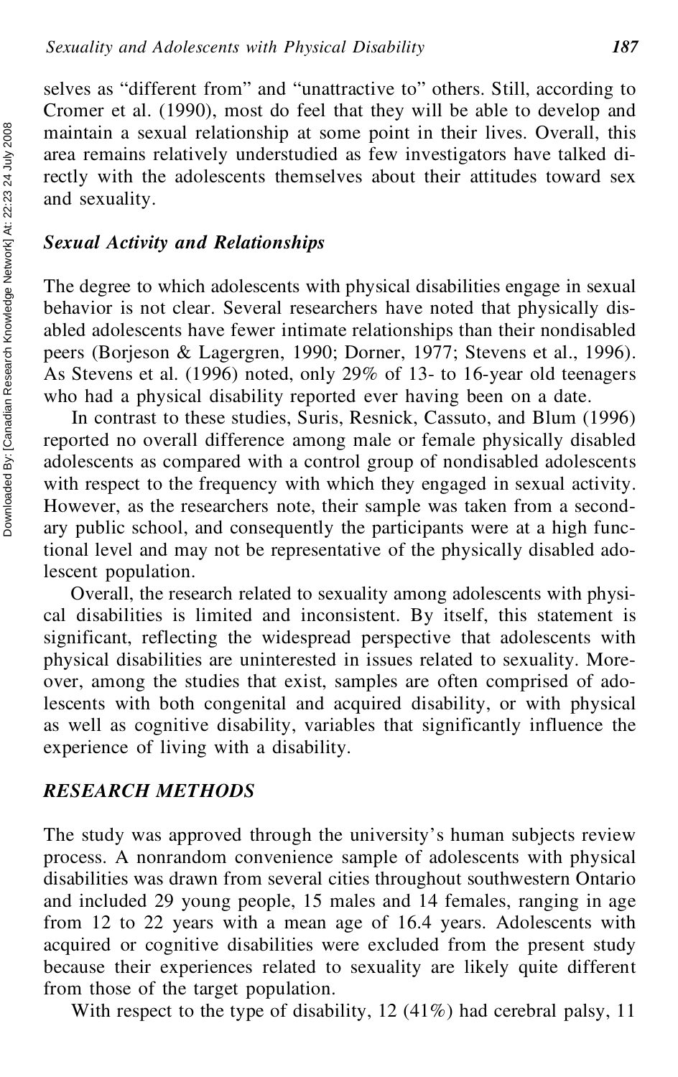selves as "different from" and "unattractive to" others. Still, according to Cromer et al. (1990), most do feel that they will be able to develop and maintain a sexual relationship at some point in their lives. Overall, this area remains relatively understudied as few investigators have talked directly with the adolescents themselves about their attitudes toward sex and sexuality.

## *Sexual Activity and Relationships*

The degree to which adolescents with physical disabilities engage in sexual behavior is not clear. Several researchers have noted that physically dis abled adolescents have fewer intimate relationships than their nondisabled peers (Borjeson & Lagergren, 1990; Dorner, 1977; Stevens et al., 1996). As Stevens et al. (1996) noted, only 29% of 13- to 16-year old teenagers who had a physical disability reported ever having been on a date.

In contrast to these studies, Suris, Resnick, Cassuto, and Blum (1996) reported no overall difference among male or female physically disabled adolescents as compared with a control group of nondisabled adolescents with respect to the frequency with which they engaged in sexual activity. However, as the researchers note, their sample was taken from a second ary public school, and consequently the participants were at a high functional level and may not be representative of the physically disabled adolescent population.

Overall, the research related to sexuality among adolescents with physi cal disabilities is limited and inconsistent. By itself, this statement is significant, reflecting the widespread perspective that adolescents with physical disabilities are uninterested in issues related to sexuality. More over, among the studies that exist, samples are often comprised of adolescents with both congenital and acquired disability, or with physical as well as cognitive disability, variables that significantly influence the experience of living with a disability.

## *RESEARCH METHODS*

The study was approved through the university's human subjects review process. A nonrandom convenience sample of adolescents with physical disabilities was drawn from several cities throughout southwestern Ontario and included 29 young people, 15 males and 14 females, ranging in age from 12 to 22 years with a mean age of 16.4 years. Adolescents with acquired or cognitive disabilities were excluded from the present study because their experiences related to sexuality are likely quite different from those of the target population.

With respect to the type of disability, 12 (41%) had cerebral palsy, 11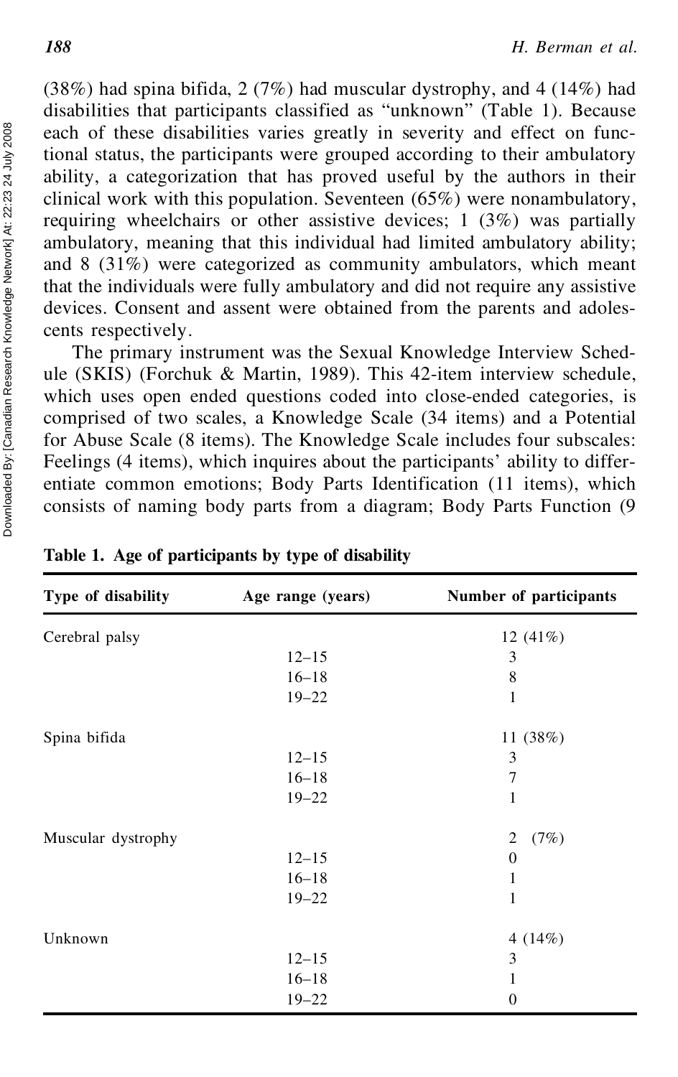(38%) had spina bifida, 2 (7%) had muscular dystrophy, and 4 (14%) had disabilities that participants classified as "unknown" (Table 1). Because each of these disabilities varies greatly in severity and effect on functional status, the participants were grouped according to their ambulatory ability, a categorization that has proved useful by the authors in their clinical work with this population. Seventeen (65%) were nonambulatory, requiring wheelchairs or other assistive devices;  $1 \, (3\%)$  was partially ambulatory, meaning that this individual had limited ambulatory ability; and 8 (31%) were categorized as community ambulators, which meant that the individuals were fully ambulatory and did not require any assistive devices. Consent and assent were obtained from the parents and adoles cents respectively.

The primary instrument was the Sexual Knowledge Interview Sched ule (SKIS) (Forchuk & Martin, 1989). This 42-item interview schedule, which uses open ended questions coded into close-ended categories, is comprised of two scales, a Knowledge Scale (34 items) and a Potential for Abuse Scale (8 items). The Knowledge Scale includes four subscales: Feelings (4 items), which inquires about the participants' ability to differ entiate common emotions; Body Parts Identification (11 items), which consists of naming body parts from a diagram; Body Parts Function (9

| Type of disability | Age range (years) | Number of participants |
|--------------------|-------------------|------------------------|
| Cerebral palsy     |                   | 12 $(41\%)$            |
|                    | $12 - 15$         | 3                      |
|                    | $16 - 18$         | 8                      |
|                    | $19 - 22$         | 1                      |
| Spina bifida       |                   | 11 (38%)               |
|                    | $12 - 15$         | 3                      |
|                    | $16 - 18$         | $\overline{7}$         |
|                    | $19 - 22$         | 1                      |
| Muscular dystrophy |                   | 2<br>(7%)              |
|                    | $12 - 15$         | 0                      |
|                    | $16 - 18$         | 1                      |
|                    | $19 - 22$         | 1                      |
| Unknown            |                   | 4(14%)                 |
|                    | $12 - 15$         | 3                      |
|                    | $16 - 18$         |                        |
|                    | $19 - 22$         | $\Omega$               |

**Table 1. Age of participants by type of disability**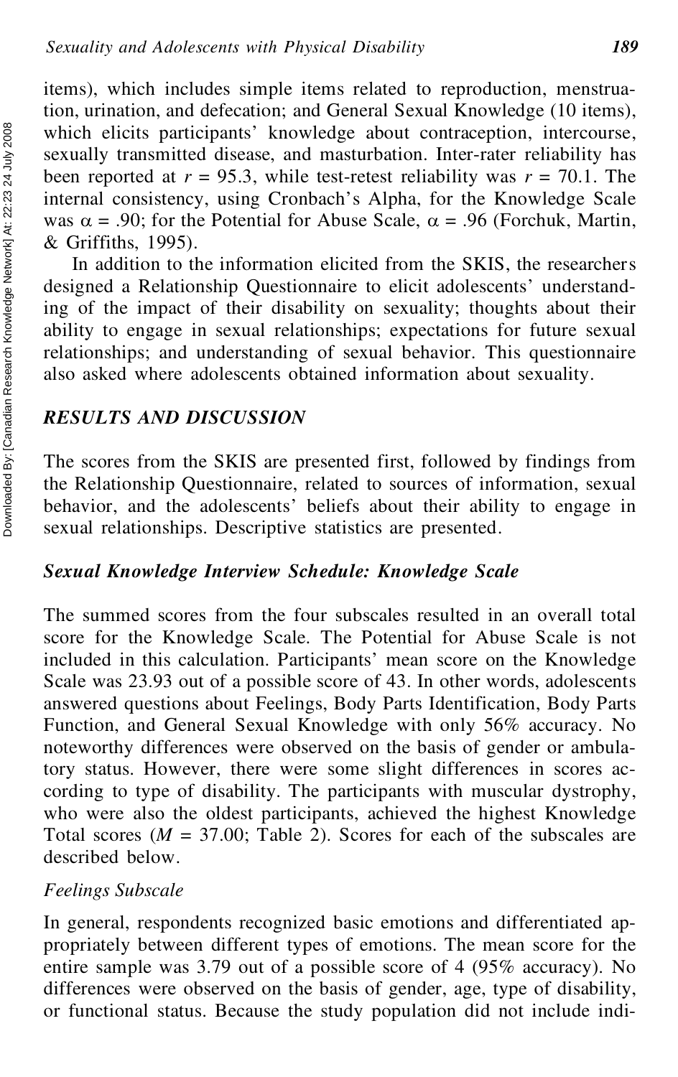items), which includes simple items related to reproduction, menstruation, urination, and defecation; and General Sexual Knowledge (10 items), which elicits participants' knowledge about contraception, intercourse, sexually transmitted disease, and masturbation. Inter-rater reliability has been reported at  $r = 95.3$ , while test-retest reliability was  $r = 70.1$ . The internal consistency, using Cronbach's Alpha, for the Knowledge Scale was  $\alpha$  = .90; for the Potential for Abuse Scale,  $\alpha$  = .96 (Forchuk, Martin, & Griffiths, 1995).

In addition to the information elicited from the SKIS, the researchers designed a Relationship Questionnaire to elicit adolescents' understanding of the impact of their disability on sexuality; thoughts about their ability to engage in sexual relationships; expectations for future sexual relationships; and understanding of sexual behavior. This questionnaire also asked where adolescents obtained information about sexuality.

## *RESULTS AND DISCUSSION*

The scores from the SKIS are presented first, followed by findings from the Relationship Questionnaire, related to sources of information, sexual behavior, and the adolescents' beliefs about their ability to engage in sexual relationships. Descriptive statistics are presented.

## *Sexual Knowledge Interview Schedule: Knowledge Scale*

The summed scores from the four subscales resulted in an overall total score for the Knowledge Scale. The Potential for Abuse Scale is not included in this calculation. Participants' mean score on the Knowledge Scale was 23.93 out of a possible score of 43. In other words, adolescents answered questions about Feelings, Body Parts Identification, Body Parts Function, and General Sexual Knowledge with only 56% accuracy. No noteworthy differences were observed on the basis of gender or ambulatory status. However, there were some slight differences in scores ac cording to type of disability. The participants with muscular dystrophy, who were also the oldest participants, achieved the highest Knowledge Total scores ( $M = 37.00$ ; Table 2). Scores for each of the subscales are described below.

#### *Feelings Subscale*

In general, respondents recognized basic emotions and differentiated ap propriately between different types of emotions. The mean score for the entire sample was 3.79 out of a possible score of 4 (95% accuracy). No differences were observed on the basis of gender, age, type of disability, or functional status. Because the study population did not include indi-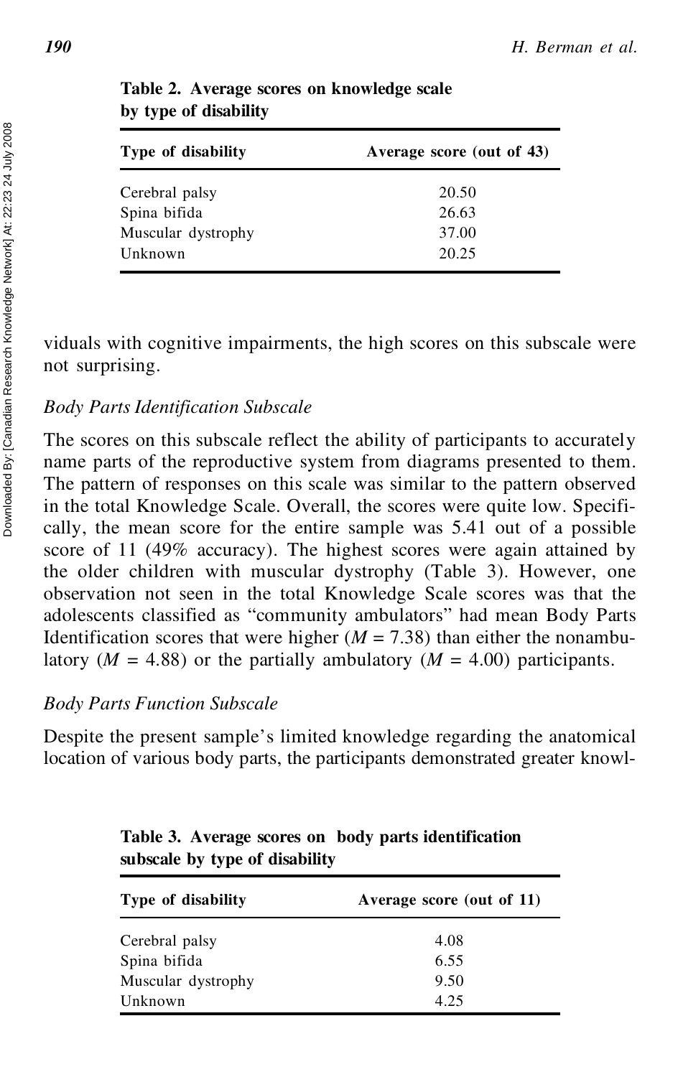| Type of disability | Average score (out of 43) |
|--------------------|---------------------------|
| Cerebral palsy     | 20.50                     |
| Spina bifida       | 26.63                     |
| Muscular dystrophy | 37.00                     |
| Unknown            | 20.25                     |

**Table 2. Average scores on knowledge scale by type of disability**

viduals with cognitive impairments, the high scores on this subscale were not surprising.

## *Body Parts Identification Subscale*

The scores on this subscale reflect the ability of participants to accurately name parts of the reproductive system from diagrams presented to them. The pattern of responses on this scale was similar to the pattern observed in the total Knowledge Scale. Overall, the scores were quite low. Specifi cally, the mean score for the entire sample was 5.41 out of a possible score of 11 (49% accuracy). The highest scores were again attained by the older children with muscular dystrophy (Table 3). However, one observation not seen in the total Knowledge Scale scores was that the adolescents classified as "community ambulators" had mean Body Parts Identification scores that were higher  $(M = 7.38)$  than either the nonambulatory ( $M = 4.88$ ) or the partially ambulatory ( $M = 4.00$ ) participants.

# *Body Parts Function Subscale*

Despite the present sample's limited knowledge regarding the anatomical location of various body parts, the participants demonstrated greater knowl-

| Type of disability | Average score (out of 11) |
|--------------------|---------------------------|
| Cerebral palsy     | 4.08                      |
| Spina bifida       | 6.55                      |
| Muscular dystrophy | 9.50                      |
| Unknown            | 4.25                      |

**Table 3. Average scores on body parts identification subscale by type of disability**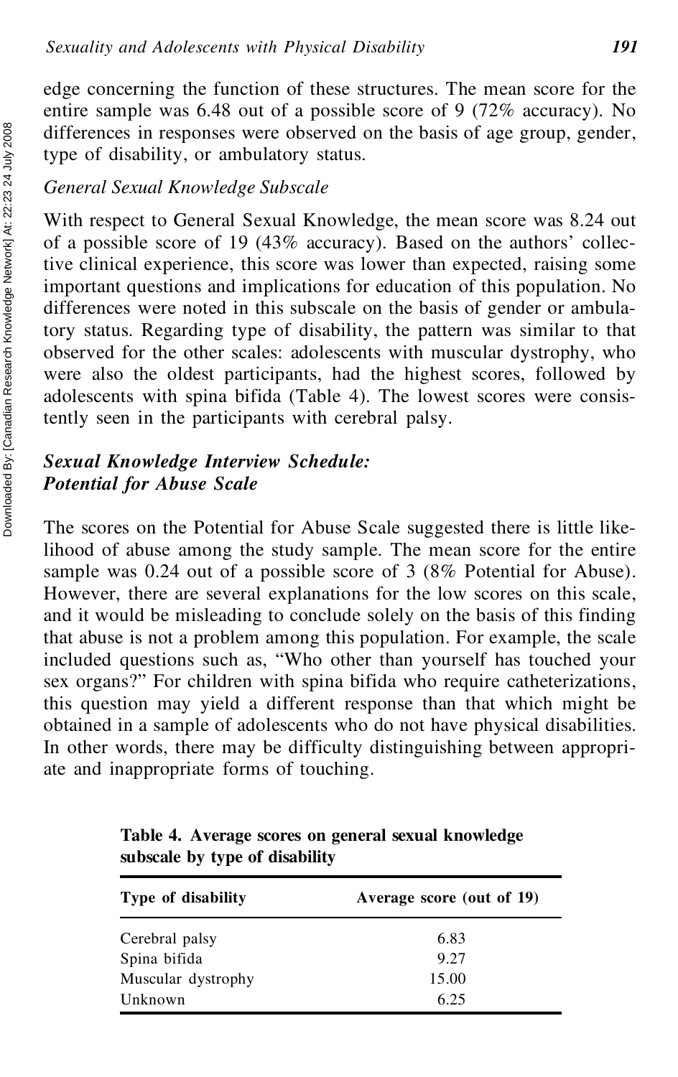edge concerning the function of these structures. The mean score for the entire sample was 6.48 out of a possible score of 9 (72% accuracy). No differences in responses were observed on the basis of age group, gender, type of disability, or ambulatory status.

## *General Sexual Knowledge Subscale*

With respect to General Sexual Knowledge, the mean score was 8.24 out of a possible score of 19 (43% accuracy). Based on the authors' collective clinical experience, this score was lower than expected, raising some important questions and implications for education of this population. No differences were noted in this subscale on the basis of gender or ambulatory status. Regarding type of disability, the pattern was similar to that observed for the other scales: adolescents with muscular dystrophy, who were also the oldest participants, had the highest scores, followed by adolescents with spina bifida (Table 4). The lowest scores were consistently seen in the participants with cerebral palsy.

## *Sexual Knowledge Interview Schedule: Potential for Abuse Scale*

The scores on the Potential for Abuse Scale suggested there is little likelihood of abuse among the study sample. The mean score for the entire sample was 0.24 out of a possible score of 3 (8% Potential for Abuse). However, there are several explanations for the low scores on this scale, and it would be misleading to conclude solely on the basis of this finding that abuse is not a problem among this population. For example, the scale included questions such as, "Who other than yourself has touched your sex organs?" For children with spina bifida who require catheterizations, this question may yield a different response than that which might be obtained in a sample of adolescents who do not have physical disabilities. In other words, there may be difficulty distinguishing between appropri ate and inappropriate forms of touching.

| Type of disability | Average score (out of 19) |
|--------------------|---------------------------|
| Cerebral palsy     | 6.83                      |
| Spina bifida       | 9.27                      |
| Muscular dystrophy | 15.00                     |
| Unknown            | 6.25                      |

**Table 4. Average scores on general sexual knowledge subscale by type of disability**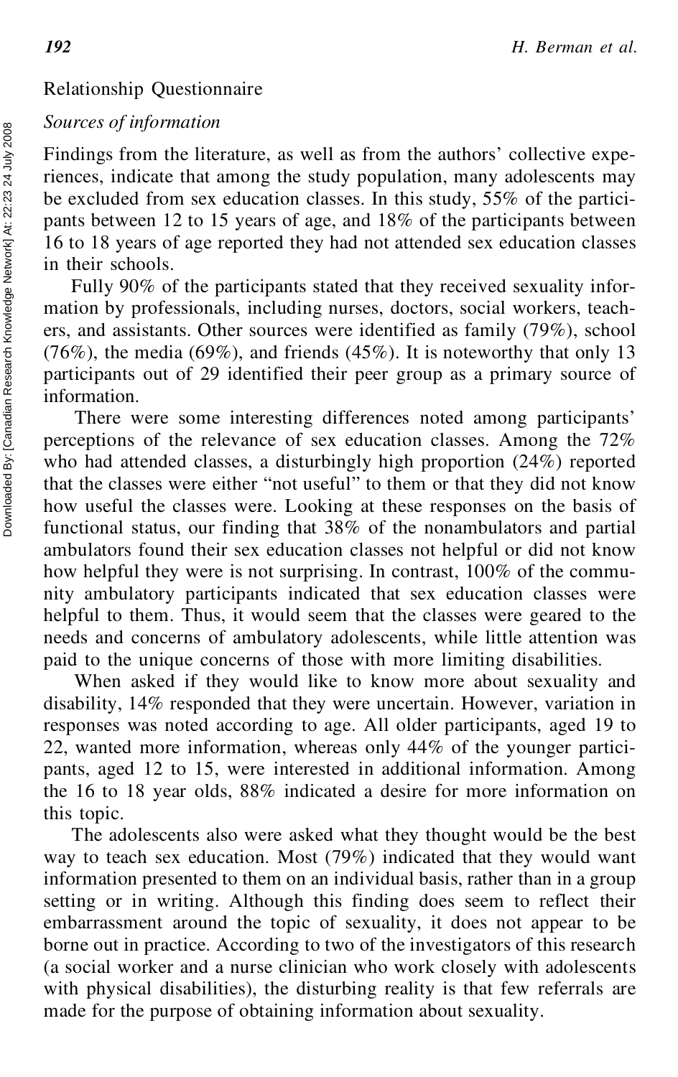#### Relationship Questionnaire

### *Sources of information*

Findings from the literature, as well as from the authors' collective experiences, indicate that among the study population, many adolescents may be excluded from sex education classes. In this study, 55% of the partici pants between 12 to 15 years of age, and 18% of the participants between 16 to 18 years of age reported they had not attended sex education classes in their schools.

Fully 90% of the participants stated that they received sexuality infor mation by professionals, including nurses, doctors, social workers, teach ers, and assistants. Other sources were identified as family (79%), school  $(76\%)$ , the media (69%), and friends (45%). It is noteworthy that only 13 participants out of 29 identified their peer group as a primary source of information.

There were some interesting differences noted among participants' perceptions of the relevance of sex education classes. Among the 72% who had attended classes, a disturbingly high proportion (24%) reported that the classes were either "not useful" to them or that they did not know how useful the classes were. Looking at these responses on the basis of functional status, our finding that 38% of the nonambulators and partial ambulators found their sex education classes not helpful or did not know how helpful they were is not surprising. In contrast, 100% of the commu nity ambulatory participants indicated that sex education classes were helpful to them. Thus, it would seem that the classes were geared to the needs and concerns of ambulatory adolescents, while little attention was paid to the unique concerns of those with more limiting disabilities.

When asked if they would like to know more about sexuality and disability, 14% responded that they were uncertain. However, variation in responses was noted according to age. All older participants, aged 19 to 22, wanted more information, whereas only 44% of the younger partici pants, aged 12 to 15, were interested in additional information. Among the 16 to 18 year olds, 88% indicated a desire for more information on this topic.

The adolescents also were asked what they thought would be the best way to teach sex education. Most (79%) indicated that they would want information presented to them on an individual basis, rather than in a group setting or in writing. Although this finding does seem to reflect their embarrassment around the topic of sexuality, it does not appear to be borne out in practice. According to two of the investigators of this research (a social worker and a nurse clinician who work closely with adolescents with physical disabilities), the disturbing reality is that few referrals are made for the purpose of obtaining information about sexuality.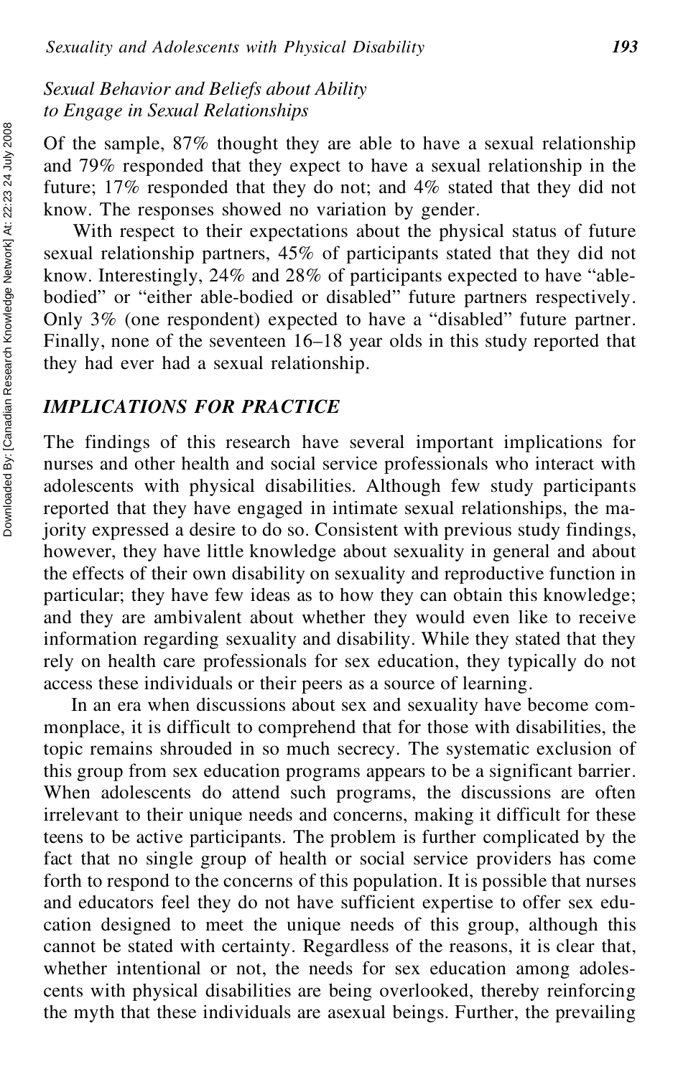*Sexual Behavior and Beliefs about Ability to Engage in Sexual Relationships*

Of the sample, 87% thought they are able to have a sexual relationship and 79% responded that they expect to have a sexual relationship in the future; 17% responded that they do not; and 4% stated that they did not know. The responses showed no variation by gender.

With respect to their expectations about the physical status of future sexual relationship partners, 45% of participants stated that they did not know. Interestingly, 24% and 28% of participants expected to have "able bodied" or "either able-bodied or disabled" future partners respectively. Only 3% (one respondent) expected to have a "disabled" future partner. Finally, none of the seventeen 16–18 year olds in this study reported that they had ever had a sexual relationship.

## *IMPLICATIONS FOR PRACTICE*

The findings of this research have several important implications for nurses and other health and social service professionals who interact with adolescents with physical disabilities. Although few study participants reported that they have engaged in intimate sexual relationships, the majority expressed a desire to do so. Consistent with previous study findings, however, they have little knowledge about sexuality in general and about the effects of their own disability on sexuality and reproductive function in particular; they have few ideas as to how they can obtain this knowledge; and they are ambivalent about whether they would even like to receive information regarding sexuality and disability. While they stated that they rely on health care professionals for sex education, they typically do not access these individuals or their peers as a source of learning.

In an era when discussions about sex and sexuality have become com monplace, it is difficult to comprehend that for those with disabilities, the topic remains shrouded in so much secrecy. The systematic exclusion of this group from sex education programs appears to be a significant barrier. When adolescents do attend such programs, the discussions are often irrelevant to their unique needs and concerns, making it difficult for these teens to be active participants. The problem is further complicated by the fact that no single group of health or social service providers has come forth to respond to the concerns of this population. It is possible that nurses and educators feel they do not have sufficient expertise to offer sex edu cation designed to meet the unique needs of this group, although this cannot be stated with certainty. Regardless of the reasons, it is clear that, whether intentional or not, the needs for sex education among adolescents with physical disabilities are being overlooked, thereby reinforcing the myth that these individuals are asexual beings. Further, the prevailing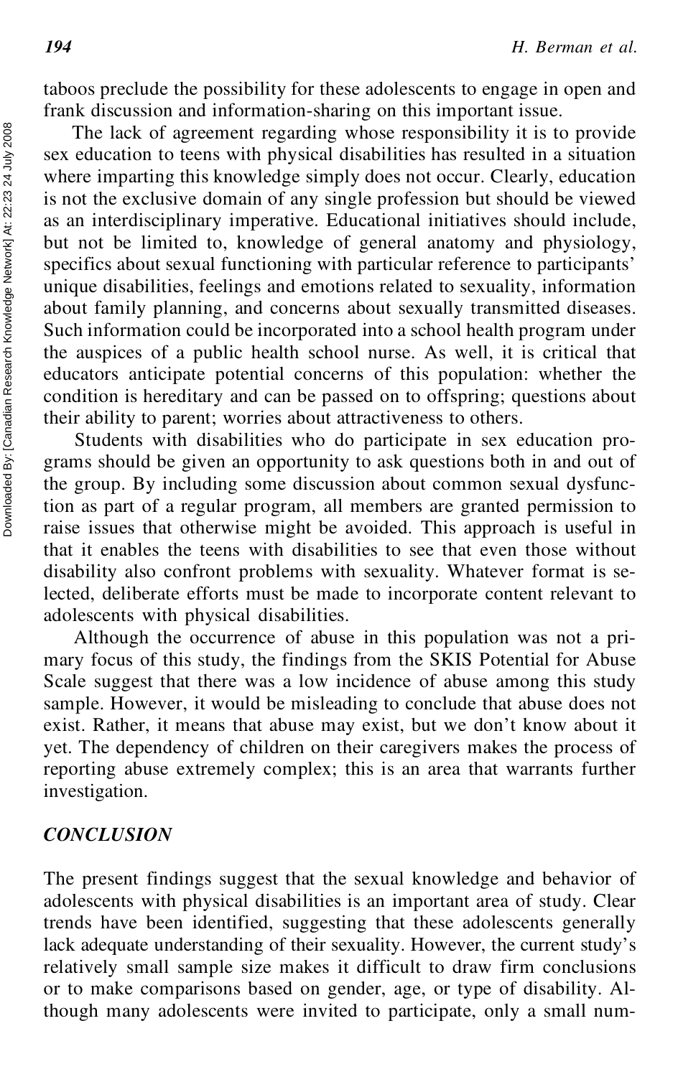taboos preclude the possibility for these adolescents to engage in open and frank discussion and information-sharing on this important issue.

The lack of agreement regarding whose responsibility it is to provide sex education to teens with physical disabilities has resulted in a situation where imparting this knowledge simply does not occur. Clearly, education is not the exclusive domain of any single profession but should be viewed as an interdisciplinary imperative. Educational initiatives should include, but not be limited to, knowledge of general anatomy and physiology, specifics about sexual functioning with particular reference to participants' unique disabilities, feelings and emotions related to sexuality, information about family planning, and concerns about sexually transmitted diseases. Such information could be incorporated into a school health program under the auspices of a public health school nurse. As well, it is critical that educators anticipate potential concerns of this population: whether the condition is hereditary and can be passed on to offspring; questions about their ability to parent; worries about attractiveness to others.

Students with disabilities who do participate in sex education pro grams should be given an opportunity to ask questions both in and out of the group. By including some discussion about common sexual dysfunction as part of a regular program, all members are granted permission to raise issues that otherwise might be avoided. This approach is useful in that it enables the teens with disabilities to see that even those without disability also confront problems with sexuality. Whatever format is selected, deliberate efforts must be made to incorporate content relevant to adolescents with physical disabilities.

Although the occurrence of abuse in this population was not a pri mary focus of this study, the findings from the SKIS Potential for Abuse Scale suggest that there was a low incidence of abuse among this study sample. However, it would be misleading to conclude that abuse does not exist. Rather, it means that abuse may exist, but we don't know about it yet. The dependency of children on their caregivers makes the process of reporting abuse extremely complex; this is an area that warrants further investigation.

## *CONCLUSION*

The present findings suggest that the sexual knowledge and behavior of adolescents with physical disabilities is an important area of study. Clear trends have been identified, suggesting that these adolescents generally lack adequate understanding of their sexuality. However, the current study's relatively small sample size makes it difficult to draw firm conclusions or to make comparisons based on gender, age, or type of disability. Although many adolescents were invited to participate, only a small num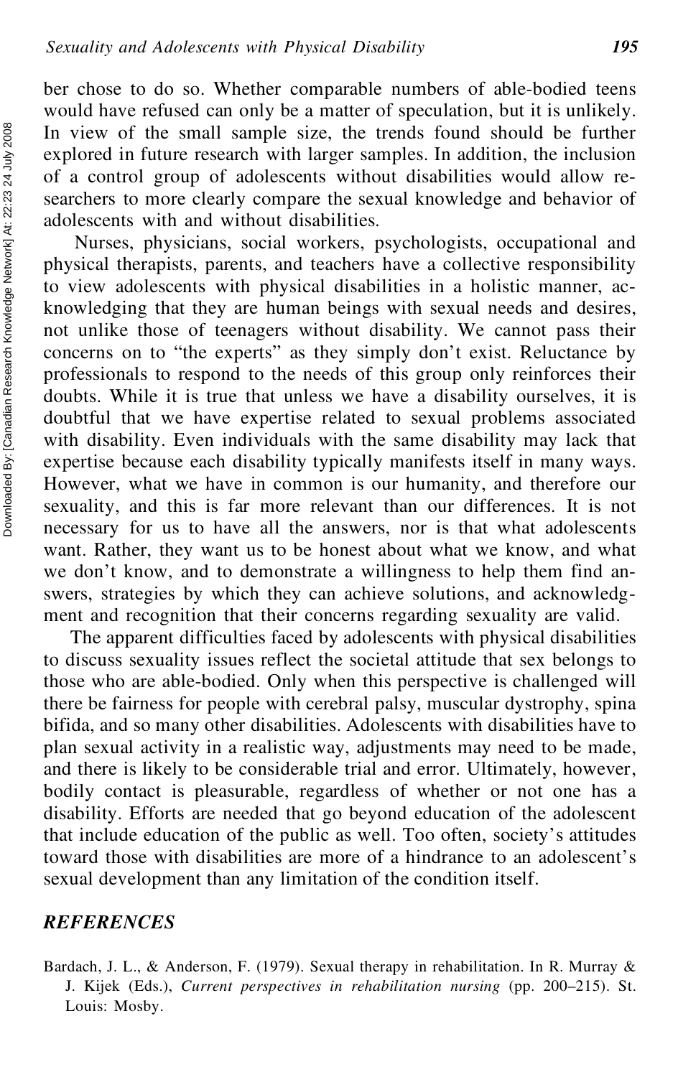ber chose to do so. Whether comparable numbers of able-bodied teens would have refused can only be a matter of speculation, but it is unlikely. In view of the small sample size, the trends found should be further explored in future research with larger samples. In addition, the inclusion of a control group of adolescents without disabilities would allow re searchers to more clearly compare the sexual knowledge and behavior of adolescents with and without disabilities.

Nurses, physicians, social workers, psychologists, occupational and physical therapists, parents, and teachers have a collective responsibility to view adolescents with physical disabilities in a holistic manner, ac knowledging that they are human beings with sexual needs and desires, not unlike those of teenagers without disability. We cannot pass their concerns on to "the experts" as they simply don't exist. Reluctance by professionals to respond to the needs of this group only reinforces their doubts. While it is true that unless we have a disability ourselves, it is doubtful that we have expertise related to sexual problems associated with disability. Even individuals with the same disability may lack that expertise because each disability typically manifests itself in many ways. However, what we have in common is our humanity, and therefore our sexuality, and this is far more relevant than our differences. It is not necessary for us to have all the answers, nor is that what adolescents want. Rather, they want us to be honest about what we know, and what we don't know, and to demonstrate a willingness to help them find an swers, strategies by which they can achieve solutions, and acknowledg ment and recognition that their concerns regarding sexuality are valid.

The apparent difficulties faced by adolescents with physical disabilities to discuss sexuality issues reflect the societal attitude that sex belongs to those who are able-bodied. Only when this perspective is challenged will there be fairness for people with cerebral palsy, muscular dystrophy, spina bifida, and so many other disabilities. Adolescents with disabilities have to plan sexual activity in a realistic way, adjustments may need to be made, and there is likely to be considerable trial and error. Ultimately, however, bodily contact is pleasurable, regardless of whether or not one has a disability. Efforts are needed that go beyond education of the adolescent that include education of the public as well. Too often, society's attitudes toward those with disabilities are more of a hindrance to an adolescent's sexual development than any limitation of the condition itself.

#### *REFERENCES*

Bardach, J. L., & Anderson, F. (1979). Sexual therapy in rehabilitation. In R. Murray & J. Kijek (Eds.), *Current perspectives in rehabilitation nursing* (pp. 200–215). St. Louis: Mosby.